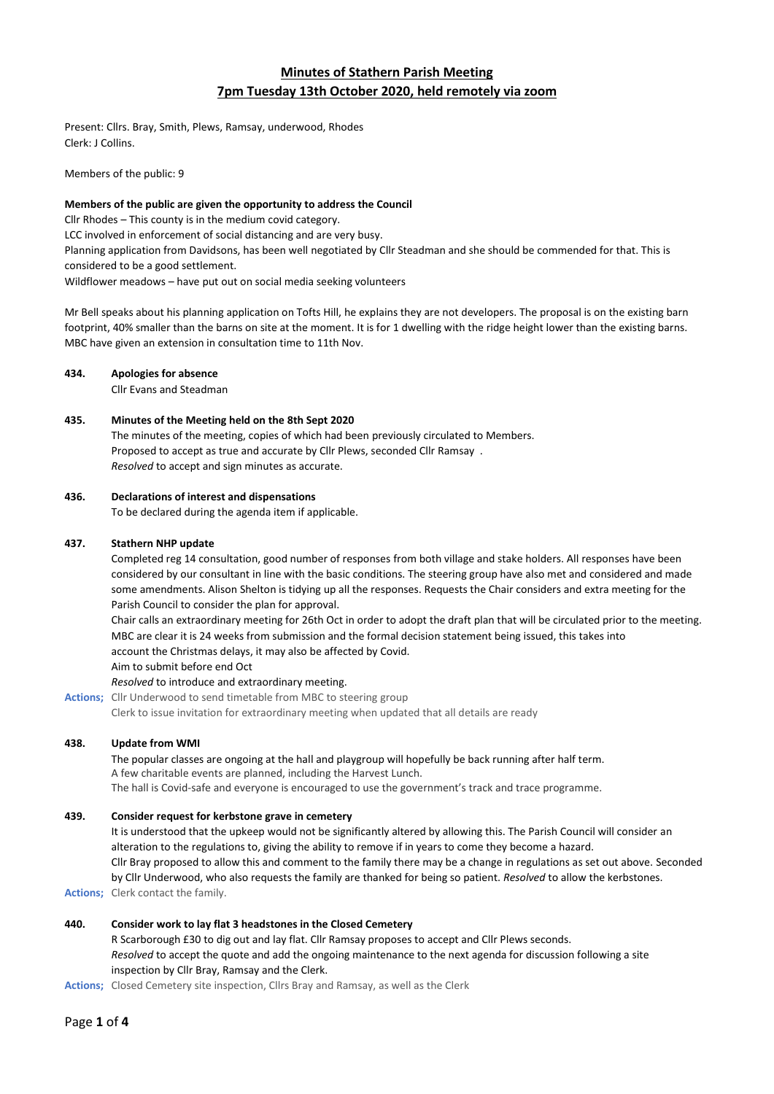# **Minutes of Stathern Parish Meeting 7pm Tuesday 13th October 2020, held remotely via zoom**

Present: Cllrs. Bray, Smith, Plews, Ramsay, underwood, Rhodes Clerk: J Collins.

Members of the public: 9

### **Members of the public are given the opportunity to address the Council**

Cllr Rhodes – This county is in the medium covid category.

LCC involved in enforcement of social distancing and are very busy.

Planning application from Davidsons, has been well negotiated by Cllr Steadman and she should be commended for that. This is considered to be a good settlement.

Wildflower meadows – have put out on social media seeking volunteers

Mr Bell speaks about his planning application on Tofts Hill, he explains they are not developers. The proposal is on the existing barn footprint, 40% smaller than the barns on site at the moment. It is for 1 dwelling with the ridge height lower than the existing barns. MBC have given an extension in consultation time to 11th Nov.

### **434. Apologies for absence**

Cllr Evans and Steadman

### **435. Minutes of the Meeting held on the 8th Sept 2020**

The minutes of the meeting, copies of which had been previously circulated to Members. Proposed to accept as true and accurate by Cllr Plews, seconded Cllr Ramsay. *Resolved* to accept and sign minutes as accurate.

### **436. Declarations of interest and dispensations**

To be declared during the agenda item if applicable.

### **437. Stathern NHP update**

Completed reg 14 consultation, good number of responses from both village and stake holders. All responses have been considered by our consultant in line with the basic conditions. The steering group have also met and considered and made some amendments. Alison Shelton is tidying up all the responses. Requests the Chair considers and extra meeting for the Parish Council to consider the plan for approval.

Chair calls an extraordinary meeting for 26th Oct in order to adopt the draft plan that will be circulated prior to the meeting. MBC are clear it is 24 weeks from submission and the formal decision statement being issued, this takes into account the Christmas delays, it may also be affected by Covid.

Aim to submit before end Oct

### *Resolved* to introduce and extraordinary meeting.

**Actions;** Cllr Underwood to send timetable from MBC to steering group

Clerk to issue invitation for extraordinary meeting when updated that all details are ready

### **438. Update from WMI**

The popular classes are ongoing at the hall and playgroup will hopefully be back running after half term. A few charitable events are planned, including the Harvest Lunch.

## The hall is Covid-safe and everyone is encouraged to use the government's track and trace programme.

### **439. Consider request for kerbstone grave in cemetery**

It is understood that the upkeep would not be significantly altered by allowing this. The Parish Council will consider an alteration to the regulations to, giving the ability to remove if in years to come they become a hazard. Cllr Bray proposed to allow this and comment to the family there may be a change in regulations as set out above. Seconded by Cllr Underwood, who also requests the family are thanked for being so patient. *Resolved* to allow the kerbstones. **Actions;** Clerk contact the family.

### **440. Consider work to lay flat 3 headstones in the Closed Cemetery**

R Scarborough £30 to dig out and lay flat. Cllr Ramsay proposes to accept and Cllr Plews seconds. *Resolved* to accept the quote and add the ongoing maintenance to the next agenda for discussion following a site inspection by Cllr Bray, Ramsay and the Clerk.

**Actions;** Closed Cemetery site inspection, Cllrs Bray and Ramsay, as well as the Clerk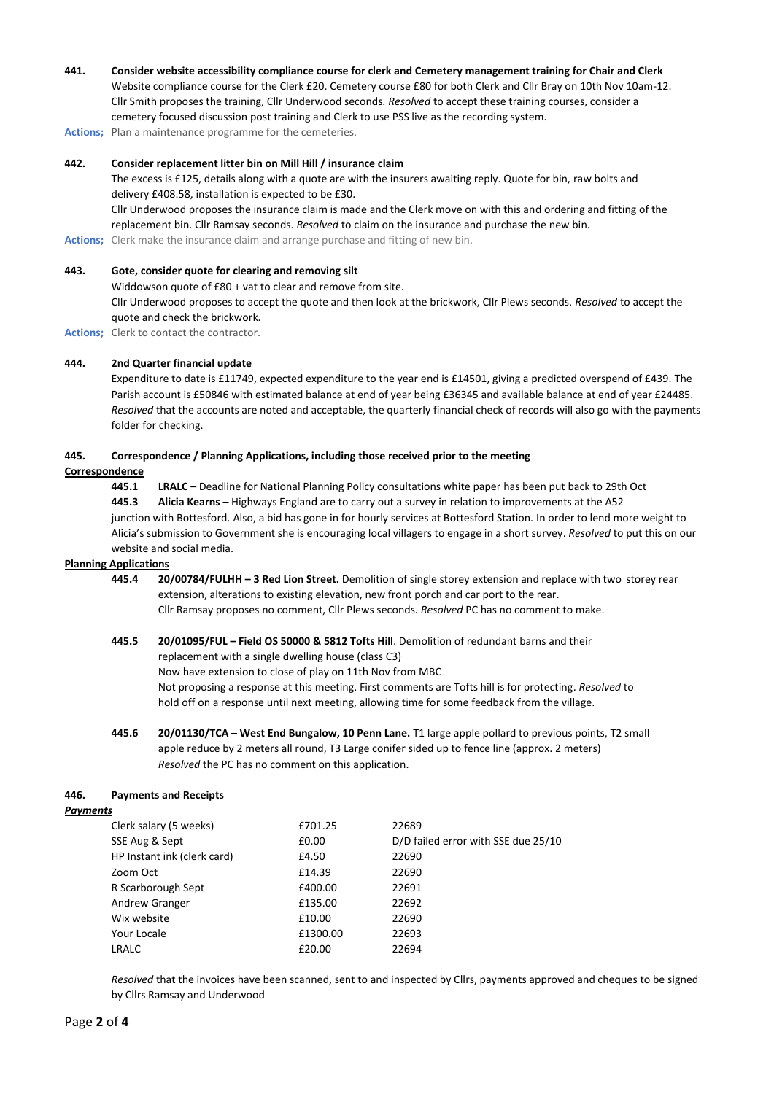**441. Consider website accessibility compliance course for clerk and Cemetery management training for Chair and Clerk** Website compliance course for the Clerk £20. Cemetery course £80 for both Clerk and Cllr Bray on 10th Nov 10am-12. Cllr Smith proposes the training, Cllr Underwood seconds. *Resolved* to accept these training courses, consider a cemetery focused discussion post training and Clerk to use PSS live as the recording system.

**Actions;** Plan a maintenance programme for the cemeteries.

### **442. Consider replacement litter bin on Mill Hill / insurance claim**

The excess is £125, details along with a quote are with the insurers awaiting reply. Quote for bin, raw bolts and delivery £408.58, installation is expected to be £30.

Cllr Underwood proposes the insurance claim is made and the Clerk move on with this and ordering and fitting of the replacement bin. Cllr Ramsay seconds. *Resolved* to claim on the insurance and purchase the new bin.

**Actions;** Clerk make the insurance claim and arrange purchase and fitting of new bin.

### **443. Gote, consider quote for clearing and removing silt**

Widdowson quote of £80 + vat to clear and remove from site. Cllr Underwood proposes to accept the quote and then look at the brickwork, Cllr Plews seconds. *Resolved* to accept the quote and check the brickwork.

**Actions;** Clerk to contact the contractor.

### **444. 2nd Quarter financial update**

Expenditure to date is £11749, expected expenditure to the year end is £14501, giving a predicted overspend of £439. The Parish account is £50846 with estimated balance at end of year being £36345 and available balance at end of year £24485. *Resolved* that the accounts are noted and acceptable, the quarterly financial check of records will also go with the payments folder for checking.

### **445. Correspondence / Planning Applications, including those received prior to the meeting**

### **Correspondence**

**445.1 LRALC** – Deadline for National Planning Policy consultations white paper has been put back to 29th Oct **445.3 Alicia Kearns** – Highways England are to carry out a survey in relation to improvements at the A52 junction with Bottesford. Also, a bid has gone in for hourly services at Bottesford Station. In order to lend more weight to Alicia's submission to Government she is encouraging local villagers to engage in a short survey. *Resolved* to put this on our website and social media.

#### **Planning Applications**

**445.4 20/00784/FULHH – 3 Red Lion Street.** Demolition of single storey extension and replace with two storey rear extension, alterations to existing elevation, new front porch and car port to the rear. Cllr Ramsay proposes no comment, Cllr Plews seconds. *Resolved* PC has no comment to make.

### **445.5 20/01095/FUL – Field OS 50000 & 5812 Tofts Hill**. Demolition of redundant barns and their replacement with a single dwelling house (class C3) Now have extension to close of play on 11th Nov from MBC

Not proposing a response at this meeting. First comments are Tofts hill is for protecting. *Resolved* to hold off on a response until next meeting, allowing time for some feedback from the village.

**445.6 20/01130/TCA** – **West End Bungalow, 10 Penn Lane.** T1 large apple pollard to previous points, T2 small apple reduce by 2 meters all round, T3 Large conifer sided up to fence line (approx. 2 meters) *Resolved* the PC has no comment on this application.

### **446. Payments and Receipts**

#### *Payments*

| Clerk salary (5 weeks)      | £701.25  | 22689                               |
|-----------------------------|----------|-------------------------------------|
| SSE Aug & Sept              | £0.00    | D/D failed error with SSE due 25/10 |
| HP Instant ink (clerk card) | £4.50    | 22690                               |
| Zoom Oct                    | £14.39   | 22690                               |
| R Scarborough Sept          | £400.00  | 22691                               |
| Andrew Granger              | £135.00  | 22692                               |
| Wix website                 | £10.00   | 22690                               |
| Your Locale                 | £1300.00 | 22693                               |
| LRALC                       | £20.00   | 22694                               |
|                             |          |                                     |

*Resolved* that the invoices have been scanned, sent to and inspected by Cllrs, payments approved and cheques to be signed by Cllrs Ramsay and Underwood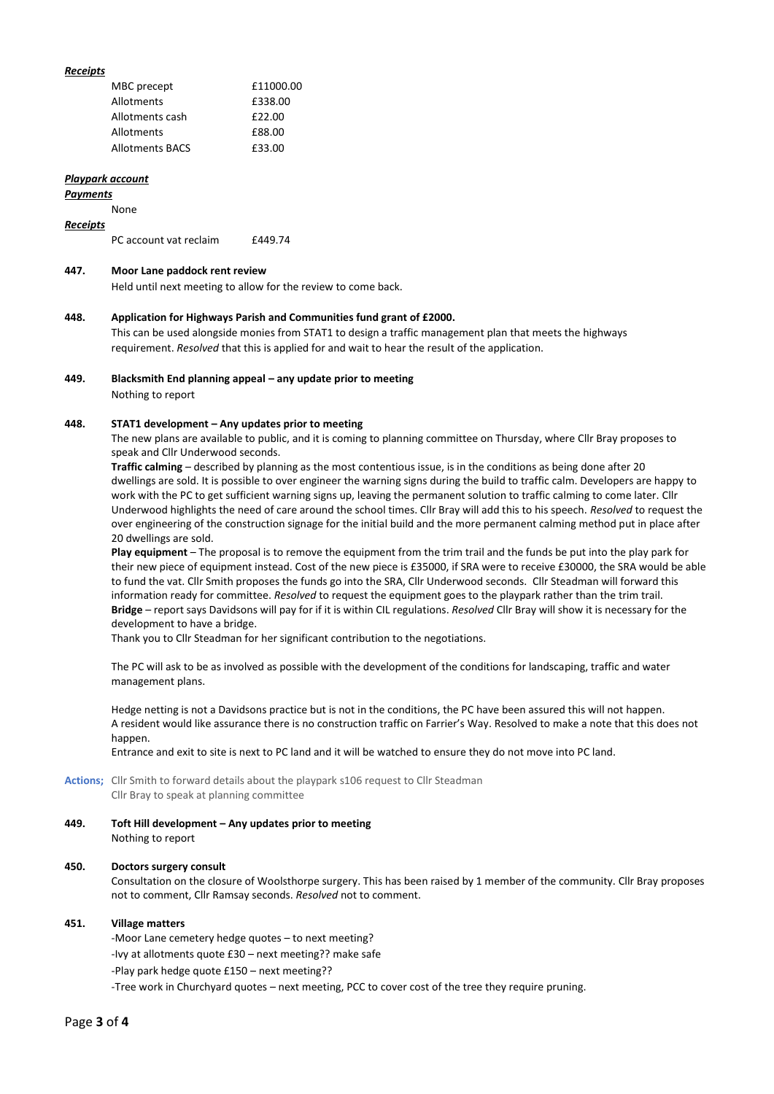### *Receipts*

| MBC precept            | £11000.00 |
|------------------------|-----------|
| Allotments             | £338.00   |
| Allotments cash        | £22.00    |
| Allotments             | £88.00    |
| <b>Allotments BACS</b> | £33.00    |

#### *Playpark account*

#### *Payments*

None

### *Receipts*

| £449.74<br>PC account vat reclaim |
|-----------------------------------|
|-----------------------------------|

### **447. Moor Lane paddock rent review**

Held until next meeting to allow for the review to come back.

#### **448. Application for Highways Parish and Communities fund grant of £2000.**

This can be used alongside monies from STAT1 to design a traffic management plan that meets the highways requirement. *Resolved* that this is applied for and wait to hear the result of the application.

### **449. Blacksmith End planning appeal – any update prior to meeting**

Nothing to report

### **448. STAT1 development – Any updates prior to meeting**

The new plans are available to public, and it is coming to planning committee on Thursday, where Cllr Bray proposes to speak and Cllr Underwood seconds.

**Traffic calming** – described by planning as the most contentious issue, is in the conditions as being done after 20 dwellings are sold. It is possible to over engineer the warning signs during the build to traffic calm. Developers are happy to work with the PC to get sufficient warning signs up, leaving the permanent solution to traffic calming to come later. Cllr Underwood highlights the need of care around the school times. Cllr Bray will add this to his speech. *Resolved* to request the over engineering of the construction signage for the initial build and the more permanent calming method put in place after 20 dwellings are sold.

**Play equipment** – The proposal is to remove the equipment from the trim trail and the funds be put into the play park for their new piece of equipment instead. Cost of the new piece is £35000, if SRA were to receive £30000, the SRA would be able to fund the vat. Cllr Smith proposes the funds go into the SRA, Cllr Underwood seconds. Cllr Steadman will forward this information ready for committee. *Resolved* to request the equipment goes to the playpark rather than the trim trail. **Bridge** – report says Davidsons will pay for if it is within CIL regulations. *Resolved* Cllr Bray will show it is necessary for the development to have a bridge.

Thank you to Cllr Steadman for her significant contribution to the negotiations.

The PC will ask to be as involved as possible with the development of the conditions for landscaping, traffic and water management plans.

Hedge netting is not a Davidsons practice but is not in the conditions, the PC have been assured this will not happen. A resident would like assurance there is no construction traffic on Farrier's Way. Resolved to make a note that this does not happen.

Entrance and exit to site is next to PC land and it will be watched to ensure they do not move into PC land.

**Actions;** Cllr Smith to forward details about the playpark s106 request to Cllr Steadman Cllr Bray to speak at planning committee

**449. Toft Hill development – Any updates prior to meeting** Nothing to report

#### **450. Doctors surgery consult**

Consultation on the closure of Woolsthorpe surgery. This has been raised by 1 member of the community. Cllr Bray proposes not to comment, Cllr Ramsay seconds. *Resolved* not to comment.

#### **451. Village matters**

-Moor Lane cemetery hedge quotes – to next meeting?

-Ivy at allotments quote £30 – next meeting?? make safe

-Play park hedge quote £150 – next meeting??

-Tree work in Churchyard quotes – next meeting, PCC to cover cost of the tree they require pruning.